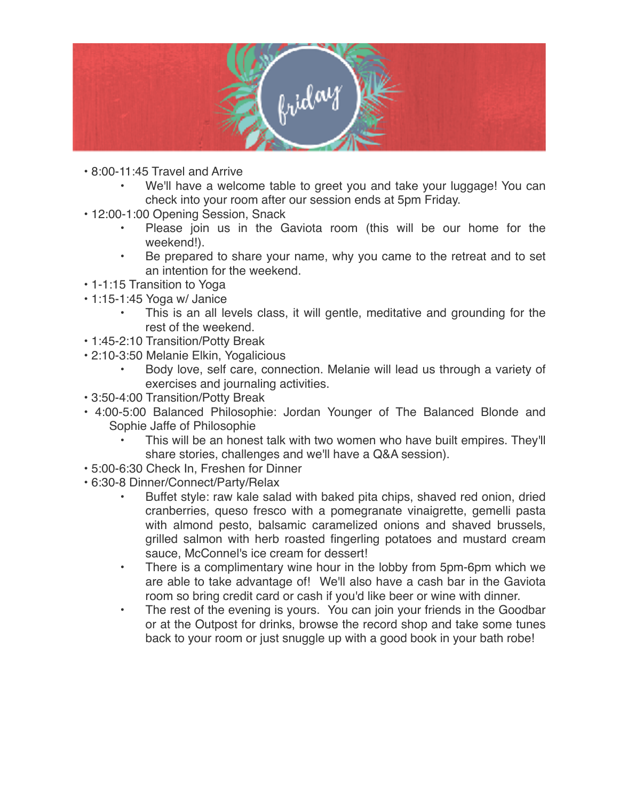

- 8:00-11:45 Travel and Arrive
	- We'll have a welcome table to greet you and take your luggage! You can check into your room after our session ends at 5pm Friday.
- 12:00-1:00 Opening Session, Snack
	- Please join us in the Gaviota room (this will be our home for the weekend!).
	- Be prepared to share your name, why you came to the retreat and to set an intention for the weekend.
- 1-1:15 Transition to Yoga
- 1:15-1:45 Yoga w/ Janice
	- This is an all levels class, it will gentle, meditative and grounding for the rest of the weekend.
- 1:45-2:10 Transition/Potty Break
- 2:10-3:50 Melanie Elkin, Yogalicious
	- Body love, self care, connection. Melanie will lead us through a variety of exercises and journaling activities.
- 3:50-4:00 Transition/Potty Break
- 4:00-5:00 Balanced Philosophie: Jordan Younger of The Balanced Blonde and Sophie Jaffe of Philosophie
	- This will be an honest talk with two women who have built empires. They'll share stories, challenges and we'll have a Q&A session).
- 5:00-6:30 Check In, Freshen for Dinner
- 6:30-8 Dinner/Connect/Party/Relax
	- Buffet style: raw kale salad with baked pita chips, shaved red onion, dried cranberries, queso fresco with a pomegranate vinaigrette, gemelli pasta with almond pesto, balsamic caramelized onions and shaved brussels, grilled salmon with herb roasted fingerling potatoes and mustard cream sauce, McConnel's ice cream for dessert!
	- There is a complimentary wine hour in the lobby from 5pm-6pm which we are able to take advantage of! We'll also have a cash bar in the Gaviota room so bring credit card or cash if you'd like beer or wine with dinner.
	- The rest of the evening is yours. You can join your friends in the Goodbar or at the Outpost for drinks, browse the record shop and take some tunes back to your room or just snuggle up with a good book in your bath robe!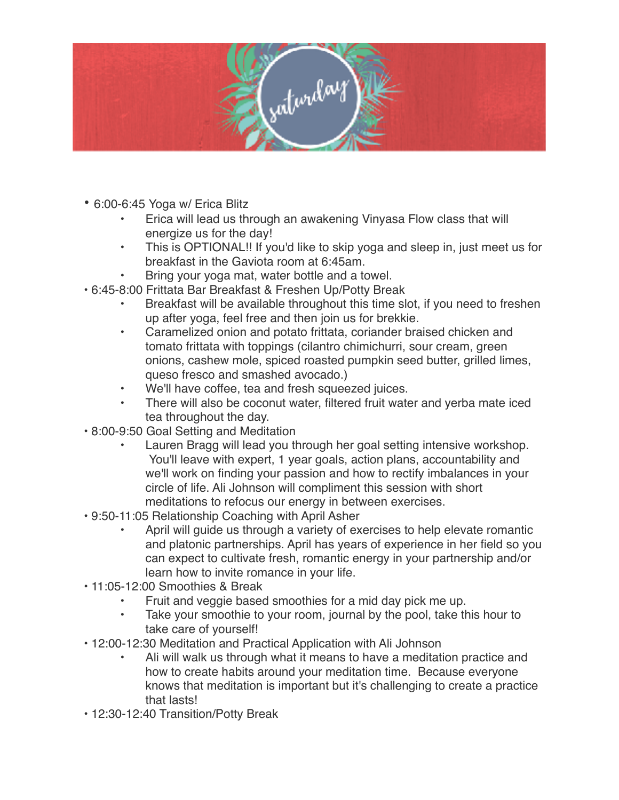

- 6:00-6:45 Yoga w/ Erica Blitz
	- Erica will lead us through an awakening Vinyasa Flow class that will energize us for the day!
	- This is OPTIONAL!! If you'd like to skip yoga and sleep in, just meet us for breakfast in the Gaviota room at 6:45am.
	- Bring your yoga mat, water bottle and a towel.
- 6:45-8:00 Frittata Bar Breakfast & Freshen Up/Potty Break
	- Breakfast will be available throughout this time slot, if you need to freshen up after yoga, feel free and then join us for brekkie.
	- Caramelized onion and potato frittata, coriander braised chicken and tomato frittata with toppings (cilantro chimichurri, sour cream, green onions, cashew mole, spiced roasted pumpkin seed butter, grilled limes, queso fresco and smashed avocado.)
	- We'll have coffee, tea and fresh squeezed juices.
	- There will also be coconut water, filtered fruit water and yerba mate iced tea throughout the day.
- 8:00-9:50 Goal Setting and Meditation
	- Lauren Bragg will lead you through her goal setting intensive workshop. You'll leave with expert, 1 year goals, action plans, accountability and we'll work on finding your passion and how to rectify imbalances in your circle of life. Ali Johnson will compliment this session with short meditations to refocus our energy in between exercises.
- 9:50-11:05 Relationship Coaching with April Asher
	- April will guide us through a variety of exercises to help elevate romantic and platonic partnerships. April has years of experience in her field so you can expect to cultivate fresh, romantic energy in your partnership and/or learn how to invite romance in your life.
- 11:05-12:00 Smoothies & Break
	- Fruit and veggie based smoothies for a mid day pick me up.
	- Take your smoothie to your room, journal by the pool, take this hour to take care of yourself!
- 12:00-12:30 Meditation and Practical Application with Ali Johnson
	- Ali will walk us through what it means to have a meditation practice and how to create habits around your meditation time. Because everyone knows that meditation is important but it's challenging to create a practice that lasts!
- 12:30-12:40 Transition/Potty Break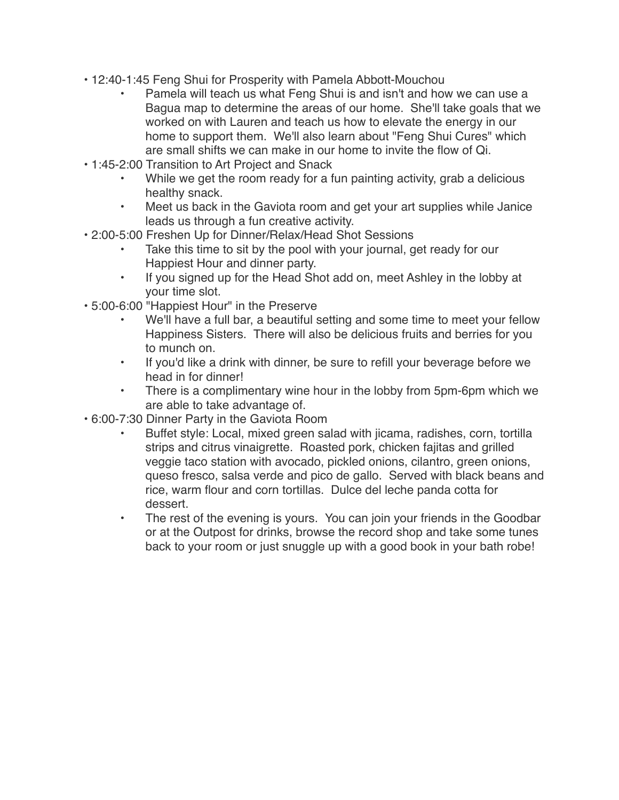- 12:40-1:45 Feng Shui for Prosperity with Pamela Abbott-Mouchou
	- Pamela will teach us what Feng Shui is and isn't and how we can use a Bagua map to determine the areas of our home. She'll take goals that we worked on with Lauren and teach us how to elevate the energy in our home to support them. We'll also learn about "Feng Shui Cures" which are small shifts we can make in our home to invite the flow of Qi.
- 1:45-2:00 Transition to Art Project and Snack
	- While we get the room ready for a fun painting activity, grab a delicious healthy snack.
	- Meet us back in the Gaviota room and get your art supplies while Janice leads us through a fun creative activity.
- 2:00-5:00 Freshen Up for Dinner/Relax/Head Shot Sessions
	- Take this time to sit by the pool with your journal, get ready for our Happiest Hour and dinner party.
	- If you signed up for the Head Shot add on, meet Ashley in the lobby at your time slot.
- 5:00-6:00 "Happiest Hour" in the Preserve
	- We'll have a full bar, a beautiful setting and some time to meet your fellow Happiness Sisters. There will also be delicious fruits and berries for you to munch on.
	- If you'd like a drink with dinner, be sure to refill your beverage before we head in for dinner!
	- There is a complimentary wine hour in the lobby from 5pm-6pm which we are able to take advantage of.
- 6:00-7:30 Dinner Party in the Gaviota Room
	- Buffet style: Local, mixed green salad with jicama, radishes, corn, tortilla strips and citrus vinaigrette. Roasted pork, chicken fajitas and grilled veggie taco station with avocado, pickled onions, cilantro, green onions, queso fresco, salsa verde and pico de gallo. Served with black beans and rice, warm flour and corn tortillas. Dulce del leche panda cotta for dessert.
	- The rest of the evening is yours. You can join your friends in the Goodbar or at the Outpost for drinks, browse the record shop and take some tunes back to your room or just snuggle up with a good book in your bath robe!